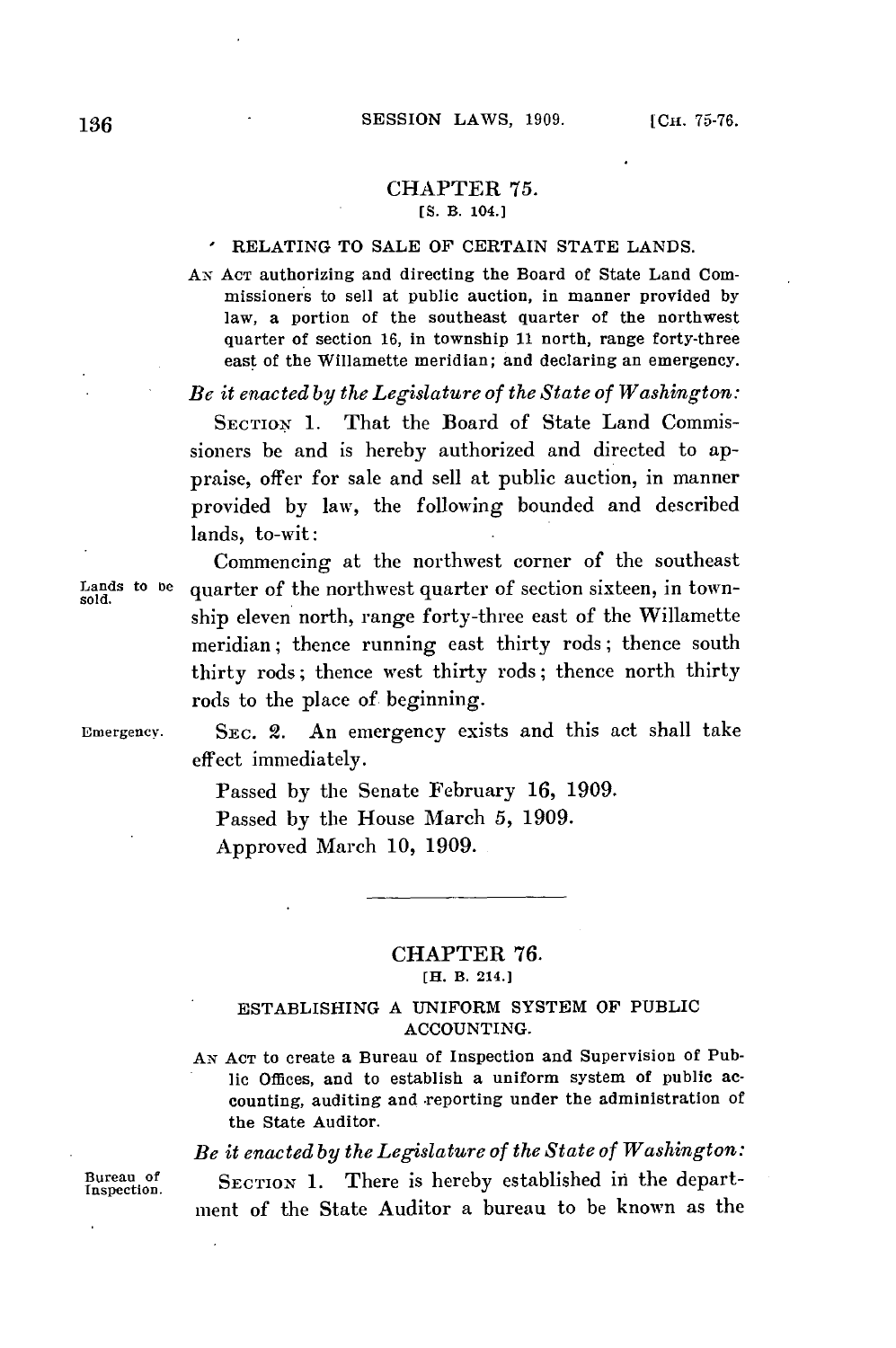#### CHAPTER 75. **[S.** B. 104.]

#### RELATING TO **SALE** OF **CERTAIN STATE LANDS.**

**AN ACT** authorizing and directing the Board of State Land Commissioners to sell at public auction, in manner provided **by** law, a portion of the southeast quarter of the northwest quarter of section **16,** in township **11** north, range forty-three east of the Willamette meridian; and declaring an emergency.

*Be it enacted by the Legislature of the State of Washington:*

**SECTION 1.** That the Board of State Land Commissioners be and is hereby authorized and directed to appraise, offer for sale and sell at public auction, in manner provided **by** law, the following bounded and described lands, to-wit:

Commencing at the northwest corner of the southeast Lands to be quarter of the northwest quarter of section sixteen, in township eleven north, range forty-three east of the Willamette meridian; thence running east thirty rods; thence south thirty rods; thence west thirty rods; thence north thirty rods to the place of beginning.

**Emergency.** SEc. 2. An emergency exists and this act shall take effect immediately.

> Passed **by** the Senate February **16, 1909.** Passed **by** the House March **5, 1909.** Approved March **10, 1909.**

# CHAPTER **76. [H. B. 214.]**

## ESTABLISHING **A UNIFORM** SYSTEM OF PUBLIC **ACCOUNTING.**

**AN ACT** to create a Bureau of Inspection and Supervision of Publie Offices, and to establish a uniform system of public accounting, auditing and reporting under the administration of the State **Auditor.**

*Be it enacted by the Legislature of the State of Washington:*

Bureau of **SECTION 1.** There is hereby established in the department of the State Auditor a bureau to be known as the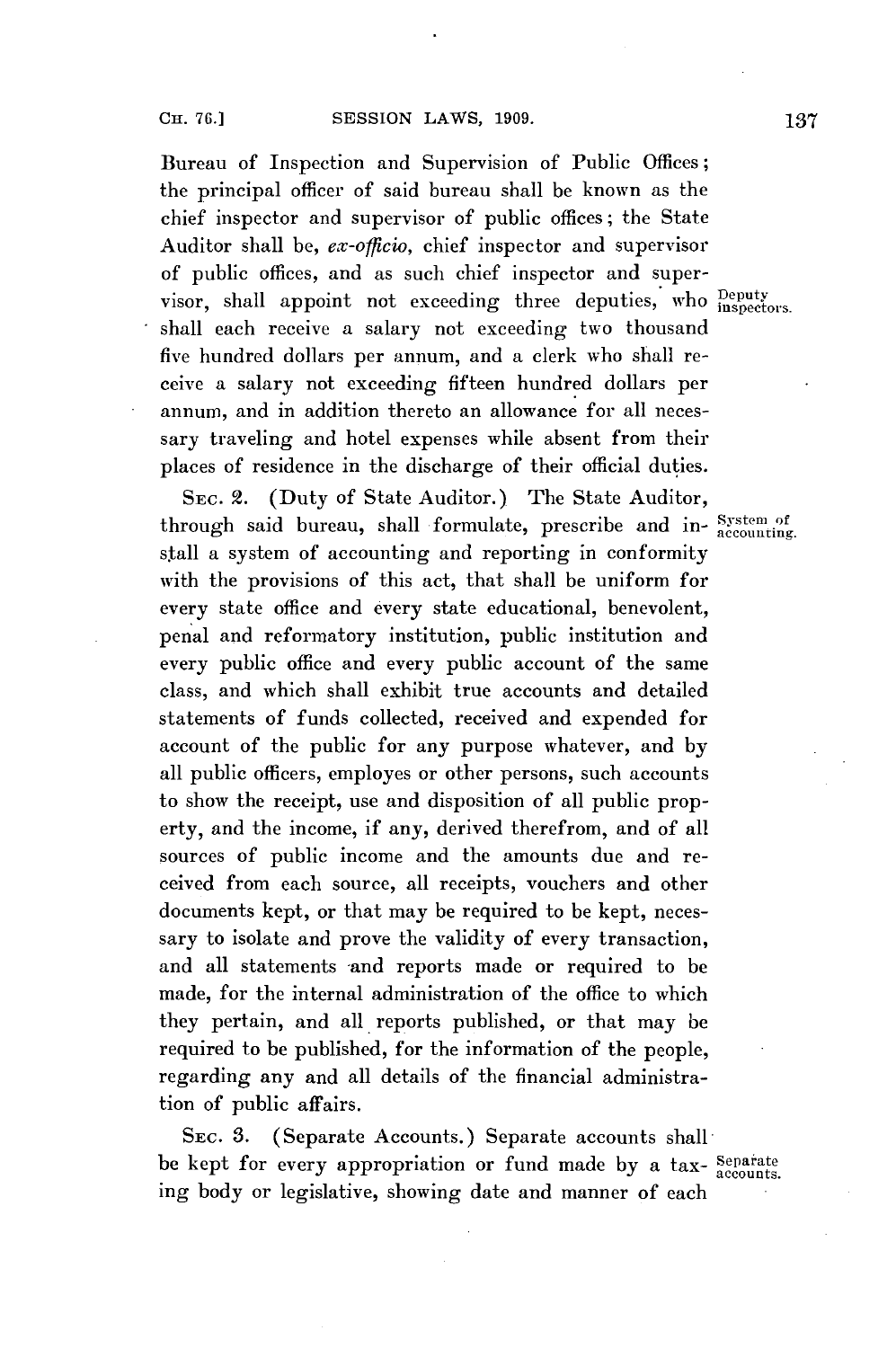Bureau of Inspection and Supervision of Public Offices; the principal officer of said bureau shall be known as the chief inspector and supervisor of public offices; the State Auditor shall be, *ex-officio,* chief inspector and supervisor of public offices, and as such chief inspector and supervisor, shall appoint not exceeding three deputies, who **peputy** shall each receive a salary not exceeding two thousand five hundred dollars per annum, and a clerk who shall receive a salary not exceeding fifteen hundred dollars per annum, and in addition thereto an allowance for all necessary traveling and hotel expenses while absent from their places of residence in the discharge of their official duties.

**SEC.** 2. (Duty of State Auditor.) The State Auditor, through said bureau, shall formulate, prescribe and in- System of stall a system of accounting and reporting in conformity with the provisions of this act, that shall be uniform for every state office and every state educational, benevolent, penal and reformatory institution, public institution and every public office and every public account of the same class, and which shall exhibit true accounts and detailed statements of funds collected, received and expended for account of the public for any purpose whatever, and **by** all public officers, employes or other persons, such accounts to show the receipt, use and disposition of all public property, and the income, if any, derived therefrom, and of all sources of public income and the amounts due and received from each source, all receipts, vouchers and other documents kept, or that may be required to be kept, necessary to isolate and prove the validity of every transaction, and all statements and reports made or required to be made, for the internal administration of the office to which they pertain, and all, reports published, or that may be required to be published, for the information of the people, regarding any and all details of the financial administration of public affairs.

SEC. 3. (Separate Accounts.) Separate accounts shallbe kept for every appropriation or fund made by a tax- Separate ing body or legislative, showing date and manner of each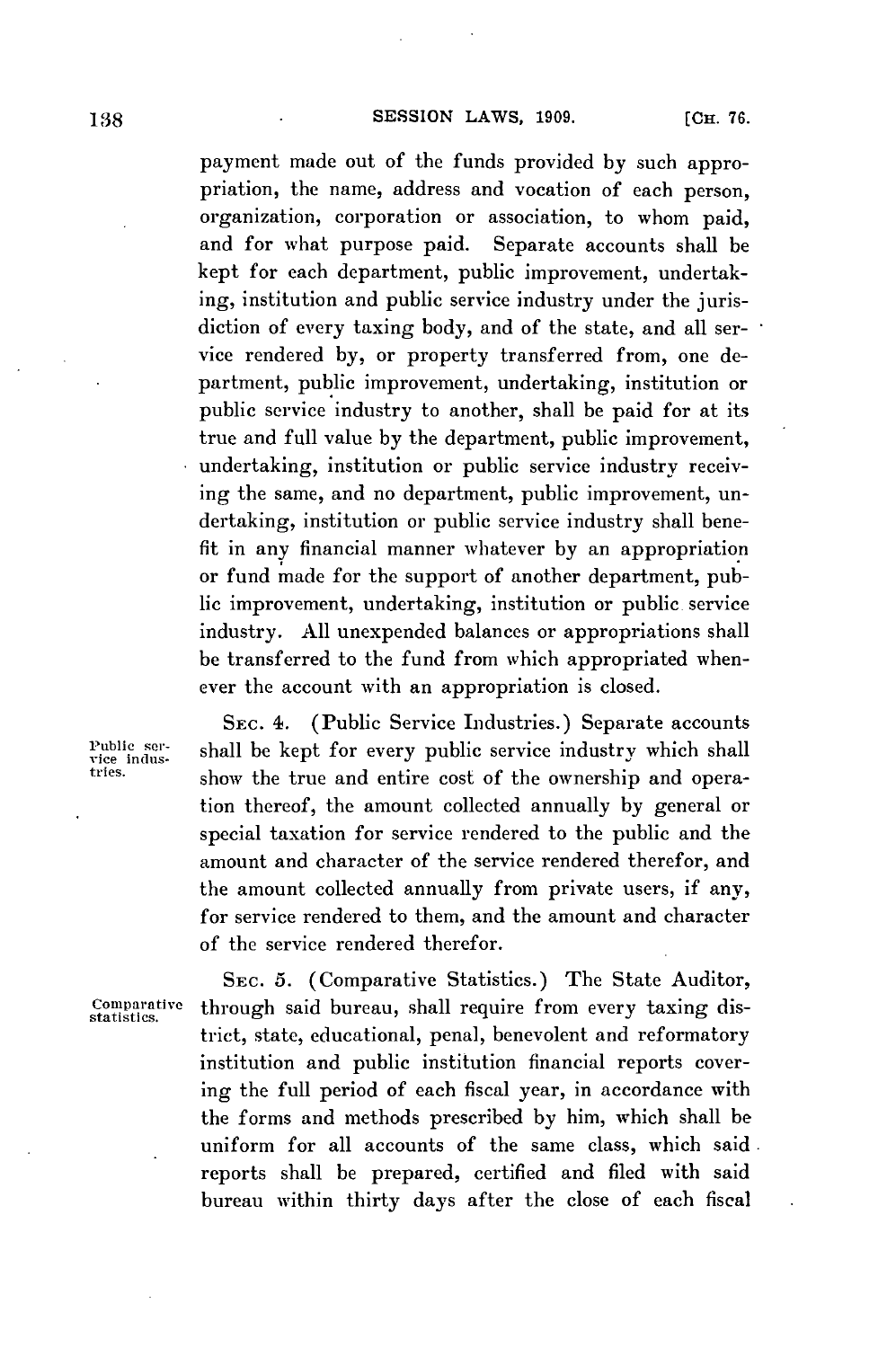**138 128 138 138 138 138 138 138 138 138 138 138 138 138 138 138 138 138 138 138 138 138 138 138 138 138 138 138 138 138 138 138 138 138 138 138 138**

payment made out of the funds provided **by** such appropriation, the name, address and vocation of each person, organization, corporation or association, to whom paid, and for what purpose paid. Separate accounts shall be kept for each department, public improvement, undertaking, institution and public service industry under the jurisdiction of every taxing body, and of the state, and all service rendered **by,** or property transferred from, one department, public improvement, undertaking, institution or public service industry to another, shall be paid for at its true and full value **by** the department, public improvement, undertaking, institution or public service industry receiving the same, and no department, public improvement, undertaking, institution or public service industry shall benefit in any financial manner whatever **by** an appropriation or fund made for the support of another department, public improvement, undertaking, institution or public service industry. **All** unexpended balances or appropriations shall be transferred to the fund from which appropriated whenever the account with an appropriation is closed.

**SEC.** 4. (Public Service Industries.) Separate accounts Public ser-<br>
rice indus-<br>
tries.<br>
show the true and ontine gost of the ownership and opera-<br>
charge show the true and optime gost of the ownership and operashow the true and entire cost of the ownership and operation thereof, the amount collected annually **by** general or special taxation for service rendered to the public and the amount and character of the service rendered therefor, and the amount collected annually from private users, if any, for service rendered to them, and the amount and character of the service rendered therefor.

**SEc. 5.** (Comparative Statistics.) The State Auditor, Comparative through said bureau, shall require from every taxing district, state, educational, penal, benevolent and reformatory institution and public institution financial reports covering the full period of each fiscal year, in accordance with the forms and methods prescribed **by** him, which shall be uniform for all accounts of the same class, which said. reports shall be prepared, certified and filed with said bureau within thirty days after the close of each fiscal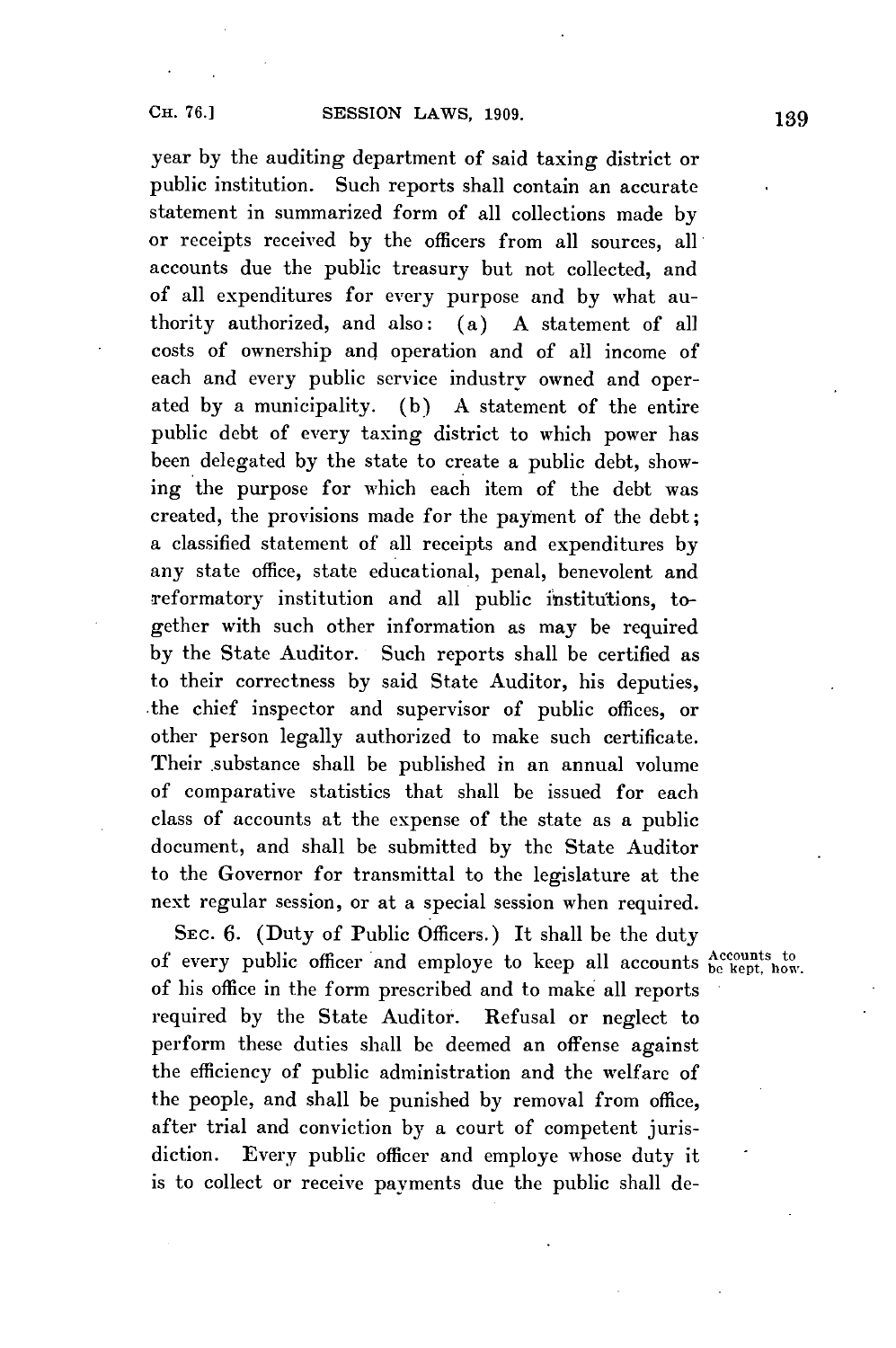year **by** the auditing department of said taxing district or public institution. Such reports shall contain an accurate statement in summarized form of all collections made **by** or receipts received **by** the officers from all sources, all accounts due the public treasury but not collected, and of all expenditures for every purpose and **by** what authority authorized, and also: (a) **A** statement of all costs of ownership and operation and of all income of each and every public service industry owned and operated **by** a municipality. **(b) A** statement of the entire public debt of every taxing district to which power has been delegated **by** the state to create a public debt, showing the purpose for which each item of the debt was created, the provisions made for the payment of the debt; a classified statement of all receipts and expenditures **by** any state office, state educational, penal, benevolent and reformatory institution and all public institutions, together with such other information as may be required **by** the State Auditor. Such reports shall be certified as to their correctness **by** said State Auditor, his deputies, .the chief inspector and supervisor of public offices, or other person legally authorized to make such certificate. Their substance shall be published in an annual volume of comparative statistics that shall be issued for each class of accounts at the expense of the state as a public document, and shall be submitted **by** the State Auditor to the Governor for transmittal to the legislature at the next regular session, or at a special session when required.

SEC. 6. (Duty of Public Officers.) It shall be the duty of every public officer and employe to keep all accounts **Accounts** to  $\mathbf{A}$ of his office in the form prescribed and to make all reports required **by** the State Auditor. Refusal or neglect to perform these duties shall be deemed an offense against the efficiency of public administration and the welfare of the people, and shall be punished **by** removal from office, after trial and conviction **by** a court of competent jurisdiction. Every public officer and employe whose duty it is to collect or receive payments due the public shall de-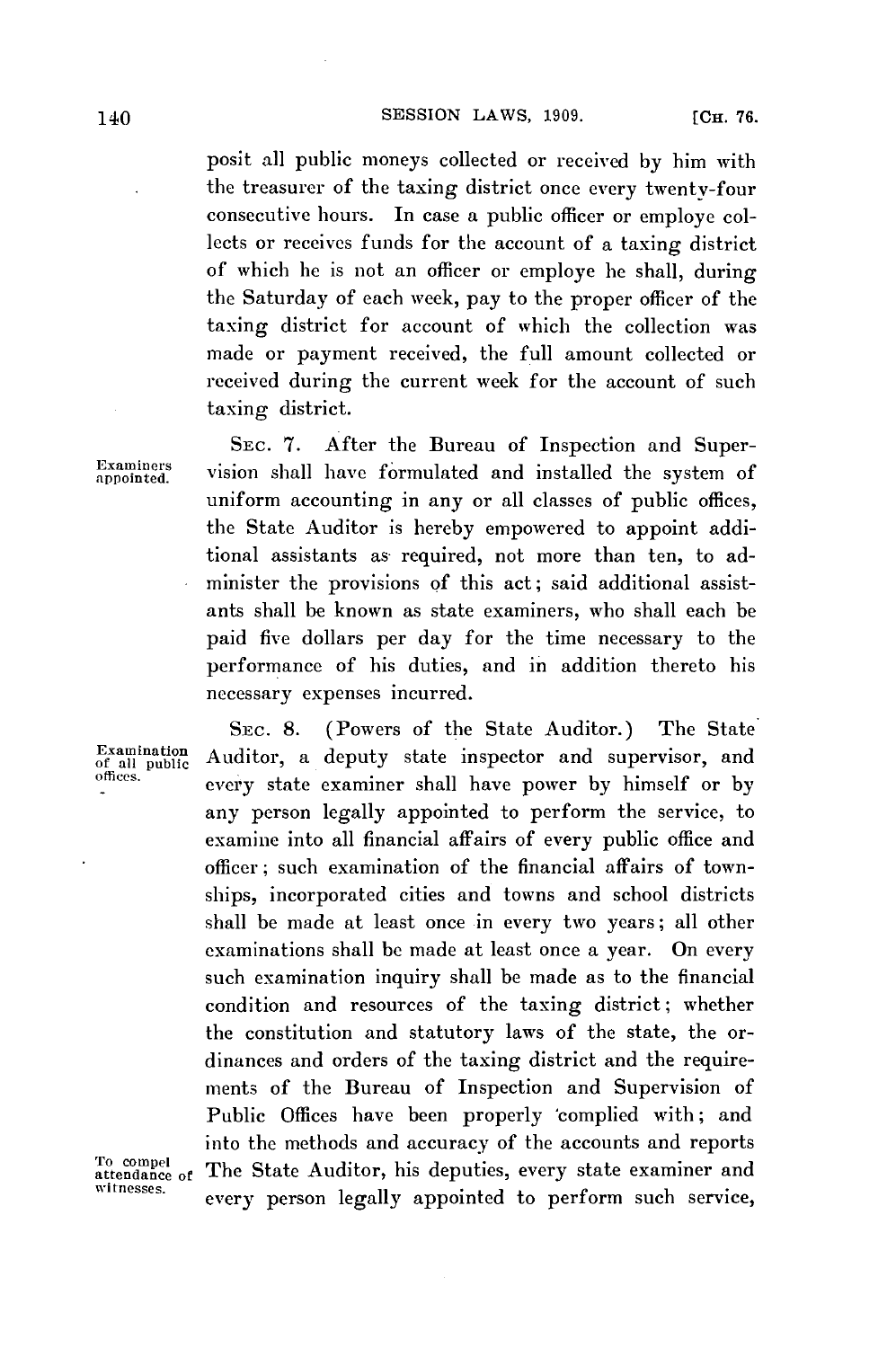posit all public moneys collected or received **by** him with the treasurer of the taxing district once every twenty-four consecutive hours. In case a public officer or employe collects or receives funds for the account of a taxing district of which he is not an officer or employe he shall, during the Saturday of each week, pay to the proper officer of the taxing district for account of which the collection was made or payment received, the full amount collected or received during the current week for the account of such taxing district.

**SEC. 7.** After the Bureau of Inspection and Super-**Examiners** vision shall have formulated and installed the system of uniform accounting in any or all classes of public offices, the State Auditor is hereby empowered to appoint additional assistants as required, not more than ten, to administer the provisions **of** this act; said additional assistants shall be known as state examiners, who shall each be paid five dollars per day for the time necessary to the performance of his duties, and in addition thereto his necessary expenses incurred.

**SEc. 8.** (Powers of the State Auditor.) The State Auditor, a deputy state inspector and supervisor, and **offices.** every state examiner shall have power **by** himself or **by** any person legally appointed to perform the service, to examine into all financial affairs of every public office and officer; such examination of the financial affairs of townships, incorporated cities and towns and school districts shall be made at least once in every two years; all other examinations shall **be** made at least once a year. On every such examination inquiry shall **be** made as to the financial condition and resources of the taxing district; whether the constitution and statutory laws of the state, the ordinances and orders of the taxing district and the requirements of the Bureau of Inspection and Supervision of Public Offices have been properly 'complied with; and into the methods and accuracy of the accounts and reports<br>attendance of The State Auditor, his deputies, every state examiner and <sup>To compel</sup><br>attendance of The State Auditor, his deputies, every state examiner and<br>witnesses. every person legally appointed to perform such service,

**Examination**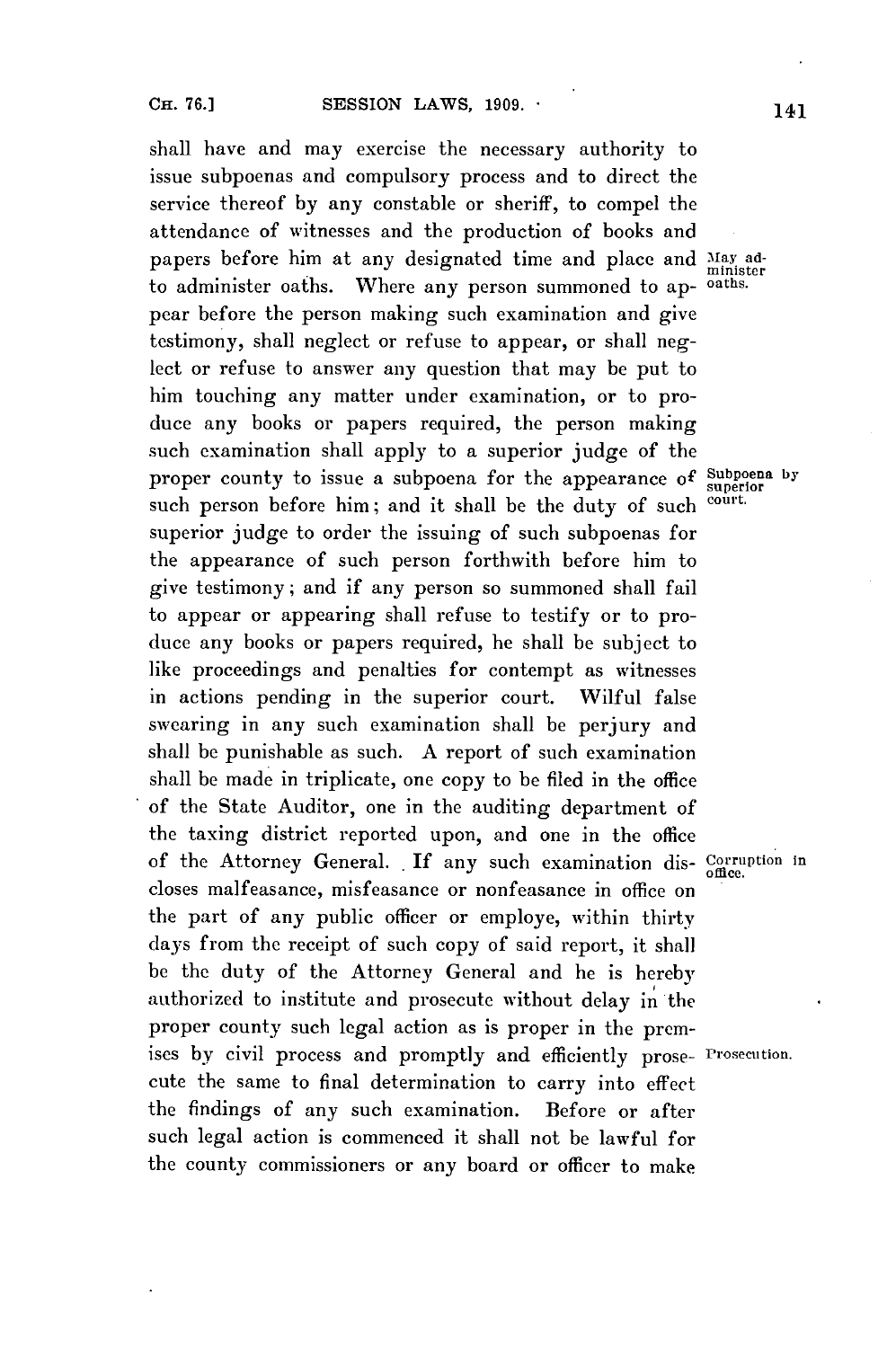shall have and may exercise the necessary authority to issue subpoenas and compulsory process and to direct the service thereof **by** any constable or sheriff, to compel the attendance of witnesses and the production of books and papers before him at any designated time and place and May adto administer oaths. Where any person summoned to ap- oaths. pear before the person making such examination and give testimony, shall neglect or refuse to appear, or shall neglect or refuse to answer any question that may be put to him touching any matter under examination, or to produce any books or papers required, the person making such examination shall apply to a superior judge of the proper county to issue a subpoena for the appearance of **Subpoena by superior** such person before him; and it shall be the duty of such court. superior judge to order the issuing of such subpoenas for the appearance of such person forthwith before him to give testimony; and if any person so summoned shall fail to appear or appearing shall refuse to testify or to produce any books or papers required, he shall be subject to like proceedings and penalties for contempt as witnesses in actions pending in the superior court. Wilful false swearing in any such examination shall **be** perjury and shall **be** punishable as such. **A** report of such examination shall be made in triplicate, one copy to be filed in the office of the State Auditor, one in the auditing department of the taxing district reported upon, and one in the office of the Attorney General. If any such examination dis- Corruption in closes malfeasance, misfeasance or nonfeasance in office on the part of any public officer or employe, within thirty days from the receipt of such copy of said report, it shall be the duty of the Attorney General and he is hereby authorized to institute and prosecute without delay in the proper county such legal action as is proper in the premises **by** civil process and promptly and efficiently prose- Prosecution. cute the same to final determination to carry into effect the findings of any such examination. Before or after such legal action is commenced it shall not be lawful for the county commissioners or any board or officer to make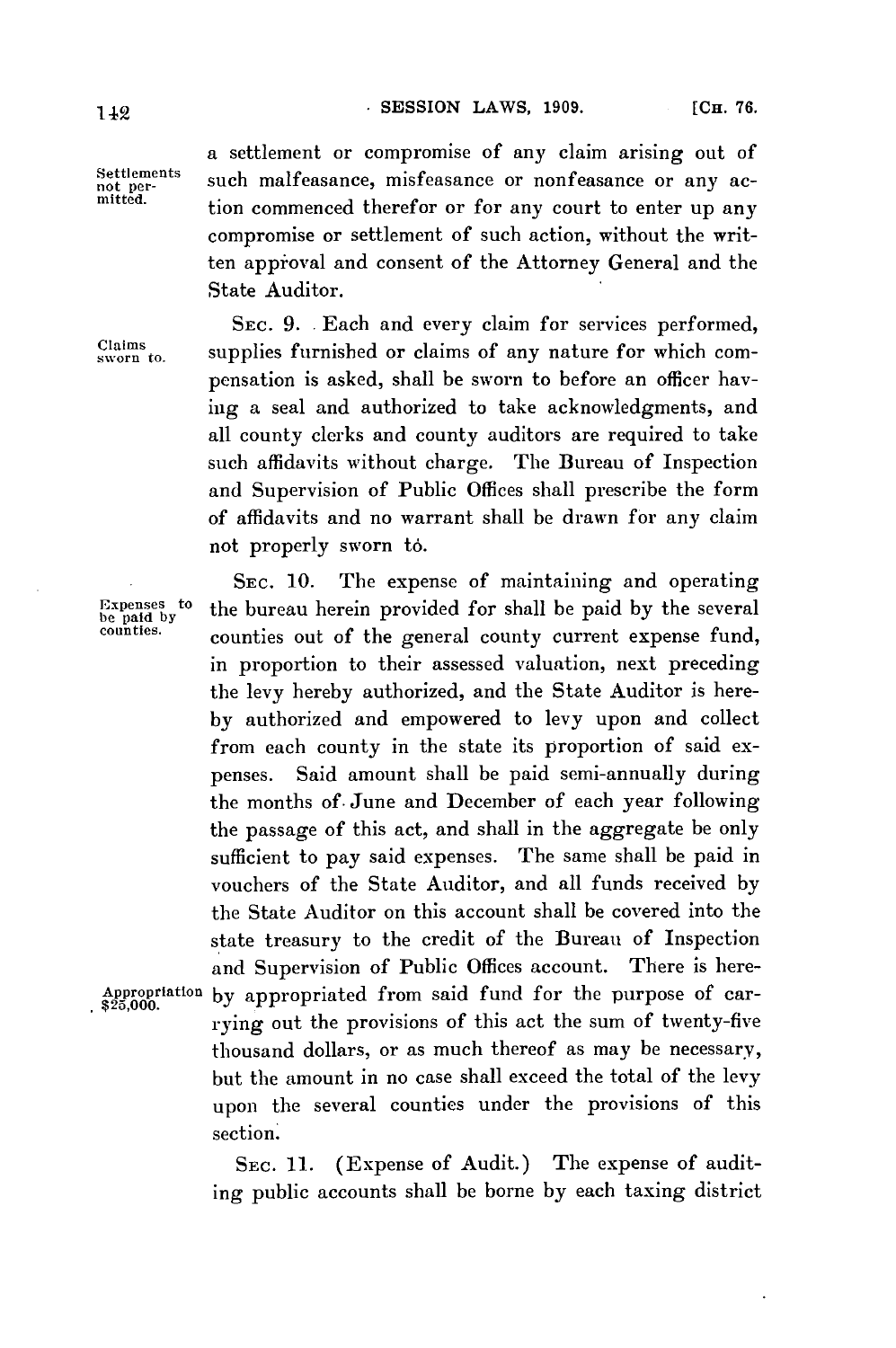a settlement or compromise of any claim arising out of Settlements such malfeasance, misfeasance or nonfeasance or any ac-<br>mitted. tion commenced therefor or for any court to enter up any compromise or settlement of such action, without the written appioval and consent of the Attorney General and the State Auditor.

SEc. **9. .**Each and every claim for services performed,  $\frac{Clains}{sworn}$  supplies furnished or claims of any nature for which compensation is asked, shall be sworn to before an officer having a seal and authorized to take acknowledgments, and all county clerks and county auditors are required to take such affidavits without charge. The Bureau of Inspection and Supervision of Public Offices shall prescribe the form of affidavits and no warrant shall be drawn for any claim not properly sworn to.

**SEC. 10.** The expense of maintaining and operating Expenses to the bureau herein provided for shall be paid by the several counties. counties out of the general county current expense fund, in proportion to their assessed valuation, next preceding the levy hereby authorized, and the State Auditor is here**by** authorized and empowered to levy upon and collect from each county in the state its proportion of said expenses. Said amount shall be paid semi-annually during the months of. June and December of each year following the passage of this act, and shall in the aggregate be only sufficient to pay said expenses. The same shall be paid in vouchers of the State Auditor, and all funds received **by** the State Auditor on this account shall be covered into the state treasury to the credit of the Bureau of Inspection and Supervision of Public Offices account. There is here-Appropriation by appropriated from said fund for the purpose of carrying out the provisions of this act the sum of twenty-five thousand dollars, or as much thereof as may be necessary, but the amount in no case shall exceed the total of the levy upon the several counties under the provisions of this section.

**SEC.** 11. (Expense of Audit.) The expense of auditing public accounts shall be borne **by** each taxing district